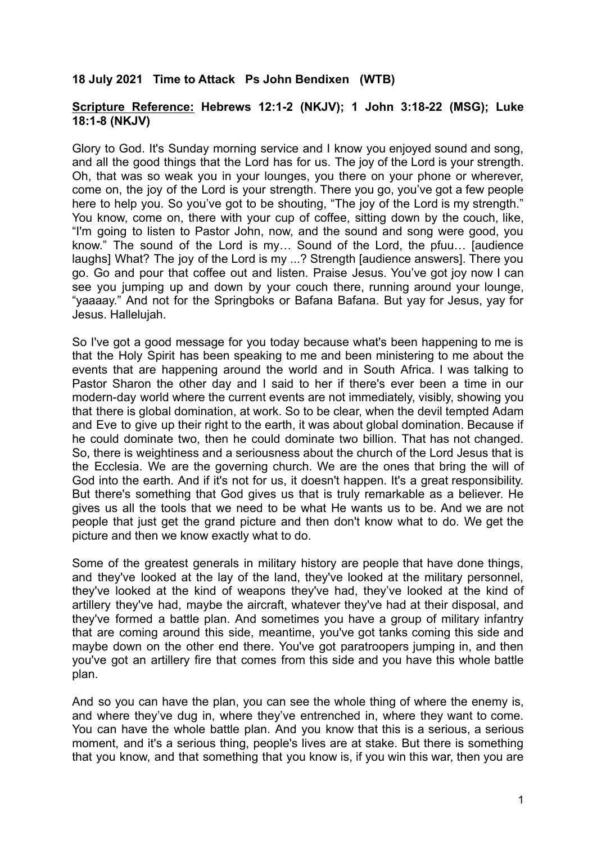## **18 July 2021 Time to Attack Ps John Bendixen (WTB)**

## **Scripture Reference: Hebrews 12:1-2 (NKJV); 1 John 3:18-22 (MSG); Luke 18:1-8 (NKJV)**

Glory to God. It's Sunday morning service and I know you enjoyed sound and song, and all the good things that the Lord has for us. The joy of the Lord is your strength. Oh, that was so weak you in your lounges, you there on your phone or wherever, come on, the joy of the Lord is your strength. There you go, you've got a few people here to help you. So you've got to be shouting, "The joy of the Lord is my strength." You know, come on, there with your cup of coffee, sitting down by the couch, like, "I'm going to listen to Pastor John, now, and the sound and song were good, you know." The sound of the Lord is my… Sound of the Lord, the pfuu… [audience laughs] What? The joy of the Lord is my ...? Strength [audience answers]. There you go. Go and pour that coffee out and listen. Praise Jesus. You've got joy now I can see you jumping up and down by your couch there, running around your lounge, "yaaaay." And not for the Springboks or Bafana Bafana. But yay for Jesus, yay for Jesus. Hallelujah.

So I've got a good message for you today because what's been happening to me is that the Holy Spirit has been speaking to me and been ministering to me about the events that are happening around the world and in South Africa. I was talking to Pastor Sharon the other day and I said to her if there's ever been a time in our modern-day world where the current events are not immediately, visibly, showing you that there is global domination, at work. So to be clear, when the devil tempted Adam and Eve to give up their right to the earth, it was about global domination. Because if he could dominate two, then he could dominate two billion. That has not changed. So, there is weightiness and a seriousness about the church of the Lord Jesus that is the Ecclesia. We are the governing church. We are the ones that bring the will of God into the earth. And if it's not for us, it doesn't happen. It's a great responsibility. But there's something that God gives us that is truly remarkable as a believer. He gives us all the tools that we need to be what He wants us to be. And we are not people that just get the grand picture and then don't know what to do. We get the picture and then we know exactly what to do.

Some of the greatest generals in military history are people that have done things, and they've looked at the lay of the land, they've looked at the military personnel, they've looked at the kind of weapons they've had, they've looked at the kind of artillery they've had, maybe the aircraft, whatever they've had at their disposal, and they've formed a battle plan. And sometimes you have a group of military infantry that are coming around this side, meantime, you've got tanks coming this side and maybe down on the other end there. You've got paratroopers jumping in, and then you've got an artillery fire that comes from this side and you have this whole battle plan.

And so you can have the plan, you can see the whole thing of where the enemy is, and where they've dug in, where they've entrenched in, where they want to come. You can have the whole battle plan. And you know that this is a serious, a serious moment, and it's a serious thing, people's lives are at stake. But there is something that you know, and that something that you know is, if you win this war, then you are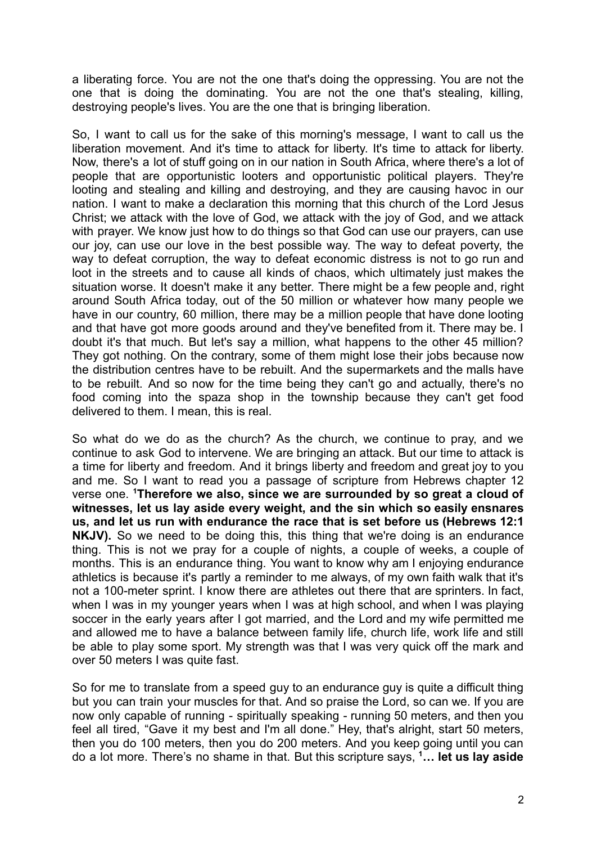a liberating force. You are not the one that's doing the oppressing. You are not the one that is doing the dominating. You are not the one that's stealing, killing, destroying people's lives. You are the one that is bringing liberation.

So, I want to call us for the sake of this morning's message, I want to call us the liberation movement. And it's time to attack for liberty. It's time to attack for liberty. Now, there's a lot of stuff going on in our nation in South Africa, where there's a lot of people that are opportunistic looters and opportunistic political players. They're looting and stealing and killing and destroying, and they are causing havoc in our nation. I want to make a declaration this morning that this church of the Lord Jesus Christ; we attack with the love of God, we attack with the joy of God, and we attack with prayer. We know just how to do things so that God can use our prayers, can use our joy, can use our love in the best possible way. The way to defeat poverty, the way to defeat corruption, the way to defeat economic distress is not to go run and loot in the streets and to cause all kinds of chaos, which ultimately just makes the situation worse. It doesn't make it any better. There might be a few people and, right around South Africa today, out of the 50 million or whatever how many people we have in our country, 60 million, there may be a million people that have done looting and that have got more goods around and they've benefited from it. There may be. I doubt it's that much. But let's say a million, what happens to the other 45 million? They got nothing. On the contrary, some of them might lose their jobs because now the distribution centres have to be rebuilt. And the supermarkets and the malls have to be rebuilt. And so now for the time being they can't go and actually, there's no food coming into the spaza shop in the township because they can't get food delivered to them. I mean, this is real.

So what do we do as the church? As the church, we continue to pray, and we continue to ask God to intervene. We are bringing an attack. But our time to attack is a time for liberty and freedom. And it brings liberty and freedom and great joy to you and me. So I want to read you a passage of scripture from Hebrews chapter 12 verse one. **<sup>1</sup>Therefore we also, since we are surrounded by so great a cloud of witnesses, let us lay aside every weight, and the sin which so easily ensnares us, and let us run with endurance the race that is set before us (Hebrews 12:1 NKJV).** So we need to be doing this, this thing that we're doing is an endurance thing. This is not we pray for a couple of nights, a couple of weeks, a couple of months. This is an endurance thing. You want to know why am I enjoying endurance athletics is because it's partly a reminder to me always, of my own faith walk that it's not a 100-meter sprint. I know there are athletes out there that are sprinters. In fact, when I was in my younger years when I was at high school, and when I was playing soccer in the early years after I got married, and the Lord and my wife permitted me and allowed me to have a balance between family life, church life, work life and still be able to play some sport. My strength was that I was very quick off the mark and over 50 meters I was quite fast.

So for me to translate from a speed guy to an endurance guy is quite a difficult thing but you can train your muscles for that. And so praise the Lord, so can we. If you are now only capable of running - spiritually speaking - running 50 meters, and then you feel all tired, "Gave it my best and I'm all done." Hey, that's alright, start 50 meters, then you do 100 meters, then you do 200 meters. And you keep going until you can do a lot more. There's no shame in that. But this scripture says, **<sup>1</sup>… let us lay aside**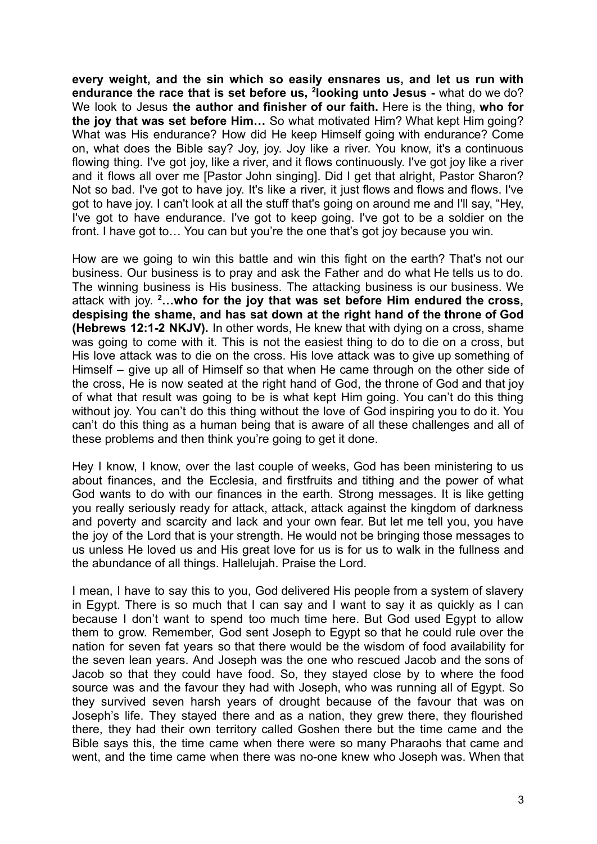**every weight, and the sin which so easily ensnares us, and let us run with endurance the race that is set before us, <sup>2</sup> looking unto Jesus -** what do we do? We look to Jesus **the author and finisher of our faith.** Here is the thing, **who for the joy that was set before Him…** So what motivated Him? What kept Him going? What was His endurance? How did He keep Himself going with endurance? Come on, what does the Bible say? Joy, joy. Joy like a river. You know, it's a continuous flowing thing. I've got joy, like a river, and it flows continuously. I've got joy like a river and it flows all over me [Pastor John singing]. Did I get that alright, Pastor Sharon? Not so bad. I've got to have joy. It's like a river, it just flows and flows and flows. I've got to have joy. I can't look at all the stuff that's going on around me and I'll say, "Hey, I've got to have endurance. I've got to keep going. I've got to be a soldier on the front. I have got to… You can but you're the one that's got joy because you win.

How are we going to win this battle and win this fight on the earth? That's not our business. Our business is to pray and ask the Father and do what He tells us to do. The winning business is His business. The attacking business is our business. We attack with joy. **<sup>2</sup>…who for the joy that was set before Him endured the cross, despising the shame, and has sat down at the right hand of the throne of God (Hebrews 12:1-2 NKJV).** In other words, He knew that with dying on a cross, shame was going to come with it. This is not the easiest thing to do to die on a cross, but His love attack was to die on the cross. His love attack was to give up something of Himself – give up all of Himself so that when He came through on the other side of the cross, He is now seated at the right hand of God, the throne of God and that joy of what that result was going to be is what kept Him going. You can't do this thing without joy. You can't do this thing without the love of God inspiring you to do it. You can't do this thing as a human being that is aware of all these challenges and all of these problems and then think you're going to get it done.

Hey I know, I know, over the last couple of weeks, God has been ministering to us about finances, and the Ecclesia, and firstfruits and tithing and the power of what God wants to do with our finances in the earth. Strong messages. It is like getting you really seriously ready for attack, attack, attack against the kingdom of darkness and poverty and scarcity and lack and your own fear. But let me tell you, you have the joy of the Lord that is your strength. He would not be bringing those messages to us unless He loved us and His great love for us is for us to walk in the fullness and the abundance of all things. Hallelujah. Praise the Lord.

I mean, I have to say this to you, God delivered His people from a system of slavery in Egypt. There is so much that I can say and I want to say it as quickly as I can because I don't want to spend too much time here. But God used Egypt to allow them to grow. Remember, God sent Joseph to Egypt so that he could rule over the nation for seven fat years so that there would be the wisdom of food availability for the seven lean years. And Joseph was the one who rescued Jacob and the sons of Jacob so that they could have food. So, they stayed close by to where the food source was and the favour they had with Joseph, who was running all of Egypt. So they survived seven harsh years of drought because of the favour that was on Joseph's life. They stayed there and as a nation, they grew there, they flourished there, they had their own territory called Goshen there but the time came and the Bible says this, the time came when there were so many Pharaohs that came and went, and the time came when there was no-one knew who Joseph was. When that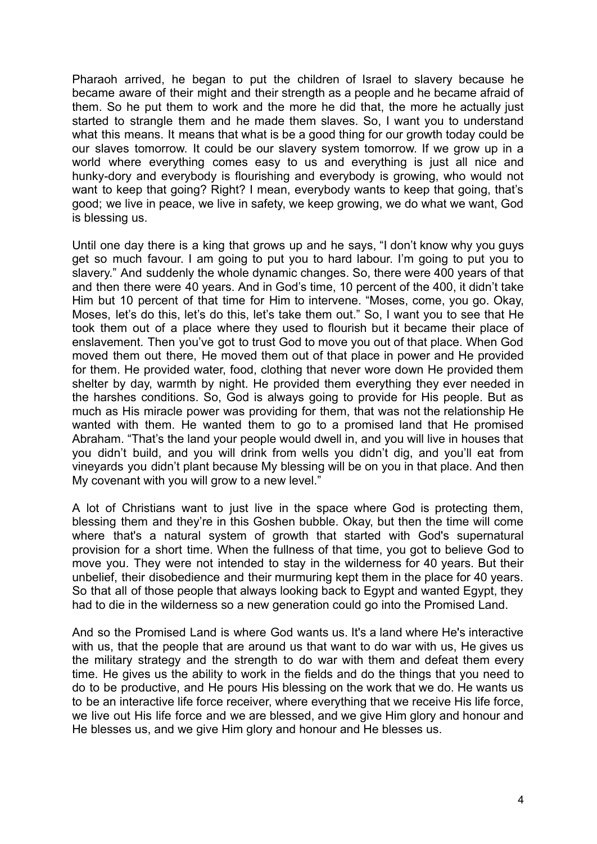Pharaoh arrived, he began to put the children of Israel to slavery because he became aware of their might and their strength as a people and he became afraid of them. So he put them to work and the more he did that, the more he actually just started to strangle them and he made them slaves. So, I want you to understand what this means. It means that what is be a good thing for our growth today could be our slaves tomorrow. It could be our slavery system tomorrow. If we grow up in a world where everything comes easy to us and everything is just all nice and hunky-dory and everybody is flourishing and everybody is growing, who would not want to keep that going? Right? I mean, everybody wants to keep that going, that's good; we live in peace, we live in safety, we keep growing, we do what we want, God is blessing us.

Until one day there is a king that grows up and he says, "I don't know why you guys get so much favour. I am going to put you to hard labour. I'm going to put you to slavery." And suddenly the whole dynamic changes. So, there were 400 years of that and then there were 40 years. And in God's time, 10 percent of the 400, it didn't take Him but 10 percent of that time for Him to intervene. "Moses, come, you go. Okay, Moses, let's do this, let's do this, let's take them out." So, I want you to see that He took them out of a place where they used to flourish but it became their place of enslavement. Then you've got to trust God to move you out of that place. When God moved them out there, He moved them out of that place in power and He provided for them. He provided water, food, clothing that never wore down He provided them shelter by day, warmth by night. He provided them everything they ever needed in the harshes conditions. So, God is always going to provide for His people. But as much as His miracle power was providing for them, that was not the relationship He wanted with them. He wanted them to go to a promised land that He promised Abraham. "That's the land your people would dwell in, and you will live in houses that you didn't build, and you will drink from wells you didn't dig, and you'll eat from vineyards you didn't plant because My blessing will be on you in that place. And then My covenant with you will grow to a new level."

A lot of Christians want to just live in the space where God is protecting them, blessing them and they're in this Goshen bubble. Okay, but then the time will come where that's a natural system of growth that started with God's supernatural provision for a short time. When the fullness of that time, you got to believe God to move you. They were not intended to stay in the wilderness for 40 years. But their unbelief, their disobedience and their murmuring kept them in the place for 40 years. So that all of those people that always looking back to Egypt and wanted Egypt, they had to die in the wilderness so a new generation could go into the Promised Land.

And so the Promised Land is where God wants us. It's a land where He's interactive with us, that the people that are around us that want to do war with us, He gives us the military strategy and the strength to do war with them and defeat them every time. He gives us the ability to work in the fields and do the things that you need to do to be productive, and He pours His blessing on the work that we do. He wants us to be an interactive life force receiver, where everything that we receive His life force, we live out His life force and we are blessed, and we give Him glory and honour and He blesses us, and we give Him glory and honour and He blesses us.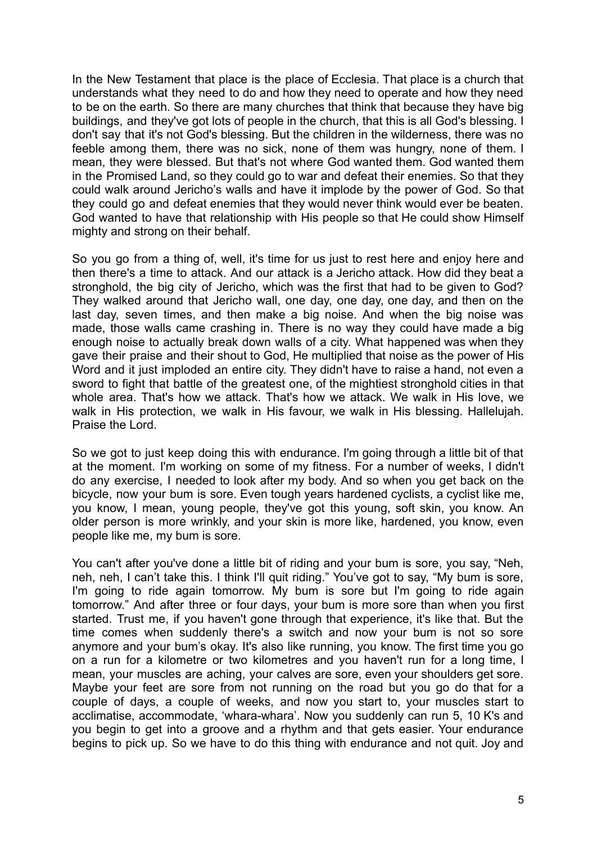In the New Testament that place is the place of Ecclesia. That place is a church that understands what they need to do and how they need to operate and how they need to be on the earth. So there are many churches that think that because they have big buildings, and they've got lots of people in the church, that this is all God's blessing. I don't say that it's not God's blessing. But the children in the wilderness, there was no feeble among them, there was no sick, none of them was hungry, none of them. I mean, they were blessed. But that's not where God wanted them. God wanted them in the Promised Land, so they could go to war and defeat their enemies. So that they could walk around Jericho's walls and have it implode by the power of God. So that they could go and defeat enemies that they would never think would ever be beaten. God wanted to have that relationship with His people so that He could show Himself mighty and strong on their behalf.

So you go from a thing of, well, it's time for us just to rest here and enjoy here and then there's a time to attack. And our attack is a Jericho attack. How did they beat a stronghold, the big city of Jericho, which was the first that had to be given to God? They walked around that Jericho wall, one day, one day, one day, and then on the last day, seven times, and then make a big noise. And when the big noise was made, those walls came crashing in. There is no way they could have made a big enough noise to actually break down walls of a city. What happened was when they gave their praise and their shout to God, He multiplied that noise as the power of His Word and it just imploded an entire city. They didn't have to raise a hand, not even a sword to fight that battle of the greatest one, of the mightiest stronghold cities in that whole area. That's how we attack. That's how we attack. We walk in His love, we walk in His protection, we walk in His favour, we walk in His blessing. Hallelujah. Praise the Lord.

So we got to just keep doing this with endurance. I'm going through a little bit of that at the moment. I'm working on some of my fitness. For a number of weeks, I didn't do any exercise, I needed to look after my body. And so when you get back on the bicycle, now your bum is sore. Even tough years hardened cyclists, a cyclist like me, you know, I mean, young people, they've got this young, soft skin, you know. An older person is more wrinkly, and your skin is more like, hardened, you know, even people like me, my bum is sore.

You can't after you've done a little bit of riding and your bum is sore, you say, "Neh, neh, neh, I can't take this. I think I'll quit riding." You've got to say, "My bum is sore, I'm going to ride again tomorrow. My bum is sore but I'm going to ride again tomorrow." And after three or four days, your bum is more sore than when you first started. Trust me, if you haven't gone through that experience, it's like that. But the time comes when suddenly there's a switch and now your bum is not so sore anymore and your bum's okay. It's also like running, you know. The first time you go on a run for a kilometre or two kilometres and you haven't run for a long time, I mean, your muscles are aching, your calves are sore, even your shoulders get sore. Maybe your feet are sore from not running on the road but you go do that for a couple of days, a couple of weeks, and now you start to, your muscles start to acclimatise, accommodate, 'whara-whara'. Now you suddenly can run 5, 10 K's and you begin to get into a groove and a rhythm and that gets easier. Your endurance begins to pick up. So we have to do this thing with endurance and not quit. Joy and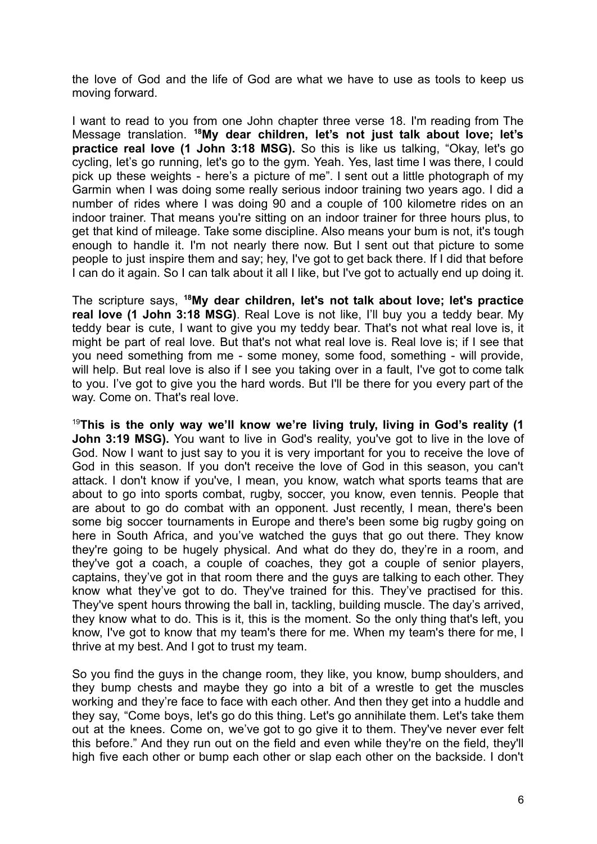the love of God and the life of God are what we have to use as tools to keep us moving forward.

I want to read to you from one John chapter three verse 18. I'm reading from The Message translation. **<sup>18</sup>My dear children, let's not just talk about love; let's practice real love (1 John 3:18 MSG).** So this is like us talking, "Okay, let's go cycling, let's go running, let's go to the gym. Yeah. Yes, last time I was there, I could pick up these weights - here's a picture of me". I sent out a little photograph of my Garmin when I was doing some really serious indoor training two years ago. I did a number of rides where I was doing 90 and a couple of 100 kilometre rides on an indoor trainer. That means you're sitting on an indoor trainer for three hours plus, to get that kind of mileage. Take some discipline. Also means your bum is not, it's tough enough to handle it. I'm not nearly there now. But I sent out that picture to some people to just inspire them and say; hey, I've got to get back there. If I did that before I can do it again. So I can talk about it all I like, but I've got to actually end up doing it.

The scripture says, **<sup>18</sup>My dear children, let's not talk about love; let's practice real love (1 John 3:18 MSG)**. Real Love is not like, I'll buy you a teddy bear. My teddy bear is cute, I want to give you my teddy bear. That's not what real love is, it might be part of real love. But that's not what real love is. Real love is; if I see that you need something from me - some money, some food, something - will provide, will help. But real love is also if I see you taking over in a fault, I've got to come talk to you. I've got to give you the hard words. But I'll be there for you every part of the way. Come on. That's real love.

<sup>19</sup>**This is the only way we'll know we're living truly, living in God's reality (1 John 3:19 MSG).** You want to live in God's reality, you've got to live in the love of God. Now I want to just say to you it is very important for you to receive the love of God in this season. If you don't receive the love of God in this season, you can't attack. I don't know if you've, I mean, you know, watch what sports teams that are about to go into sports combat, rugby, soccer, you know, even tennis. People that are about to go do combat with an opponent. Just recently, I mean, there's been some big soccer tournaments in Europe and there's been some big rugby going on here in South Africa, and you've watched the guys that go out there. They know they're going to be hugely physical. And what do they do, they're in a room, and they've got a coach, a couple of coaches, they got a couple of senior players, captains, they've got in that room there and the guys are talking to each other. They know what they've got to do. They've trained for this. They've practised for this. They've spent hours throwing the ball in, tackling, building muscle. The day's arrived, they know what to do. This is it, this is the moment. So the only thing that's left, you know, I've got to know that my team's there for me. When my team's there for me, I thrive at my best. And I got to trust my team.

So you find the guys in the change room, they like, you know, bump shoulders, and they bump chests and maybe they go into a bit of a wrestle to get the muscles working and they're face to face with each other. And then they get into a huddle and they say, "Come boys, let's go do this thing. Let's go annihilate them. Let's take them out at the knees. Come on, we've got to go give it to them. They've never ever felt this before." And they run out on the field and even while they're on the field, they'll high five each other or bump each other or slap each other on the backside. I don't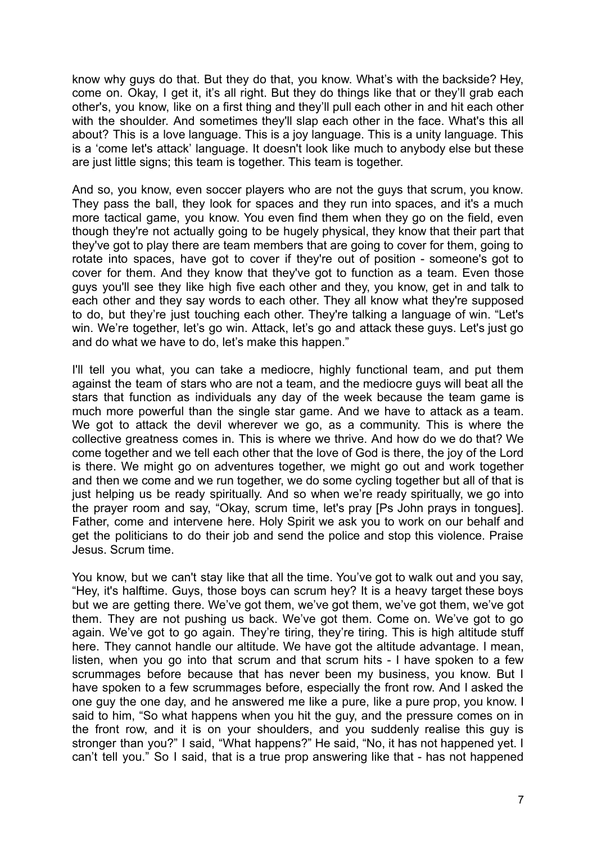know why guys do that. But they do that, you know. What's with the backside? Hey, come on. Okay, I get it, it's all right. But they do things like that or they'll grab each other's, you know, like on a first thing and they'll pull each other in and hit each other with the shoulder. And sometimes they'll slap each other in the face. What's this all about? This is a love language. This is a joy language. This is a unity language. This is a 'come let's attack' language. It doesn't look like much to anybody else but these are just little signs; this team is together. This team is together.

And so, you know, even soccer players who are not the guys that scrum, you know. They pass the ball, they look for spaces and they run into spaces, and it's a much more tactical game, you know. You even find them when they go on the field, even though they're not actually going to be hugely physical, they know that their part that they've got to play there are team members that are going to cover for them, going to rotate into spaces, have got to cover if they're out of position - someone's got to cover for them. And they know that they've got to function as a team. Even those guys you'll see they like high five each other and they, you know, get in and talk to each other and they say words to each other. They all know what they're supposed to do, but they're just touching each other. They're talking a language of win. "Let's win. We're together, let's go win. Attack, let's go and attack these guys. Let's just go and do what we have to do, let's make this happen."

I'll tell you what, you can take a mediocre, highly functional team, and put them against the team of stars who are not a team, and the mediocre guys will beat all the stars that function as individuals any day of the week because the team game is much more powerful than the single star game. And we have to attack as a team. We got to attack the devil wherever we go, as a community. This is where the collective greatness comes in. This is where we thrive. And how do we do that? We come together and we tell each other that the love of God is there, the joy of the Lord is there. We might go on adventures together, we might go out and work together and then we come and we run together, we do some cycling together but all of that is just helping us be ready spiritually. And so when we're ready spiritually, we go into the prayer room and say, "Okay, scrum time, let's pray [Ps John prays in tongues]. Father, come and intervene here. Holy Spirit we ask you to work on our behalf and get the politicians to do their job and send the police and stop this violence. Praise Jesus. Scrum time.

You know, but we can't stay like that all the time. You've got to walk out and you say, "Hey, it's halftime. Guys, those boys can scrum hey? It is a heavy target these boys but we are getting there. We've got them, we've got them, we've got them, we've got them. They are not pushing us back. We've got them. Come on. We've got to go again. We've got to go again. They're tiring, they're tiring. This is high altitude stuff here. They cannot handle our altitude. We have got the altitude advantage. I mean, listen, when you go into that scrum and that scrum hits - I have spoken to a few scrummages before because that has never been my business, you know. But I have spoken to a few scrummages before, especially the front row. And I asked the one guy the one day, and he answered me like a pure, like a pure prop, you know. I said to him, "So what happens when you hit the guy, and the pressure comes on in the front row, and it is on your shoulders, and you suddenly realise this guy is stronger than you?" I said, "What happens?" He said, "No, it has not happened yet. I can't tell you." So I said, that is a true prop answering like that - has not happened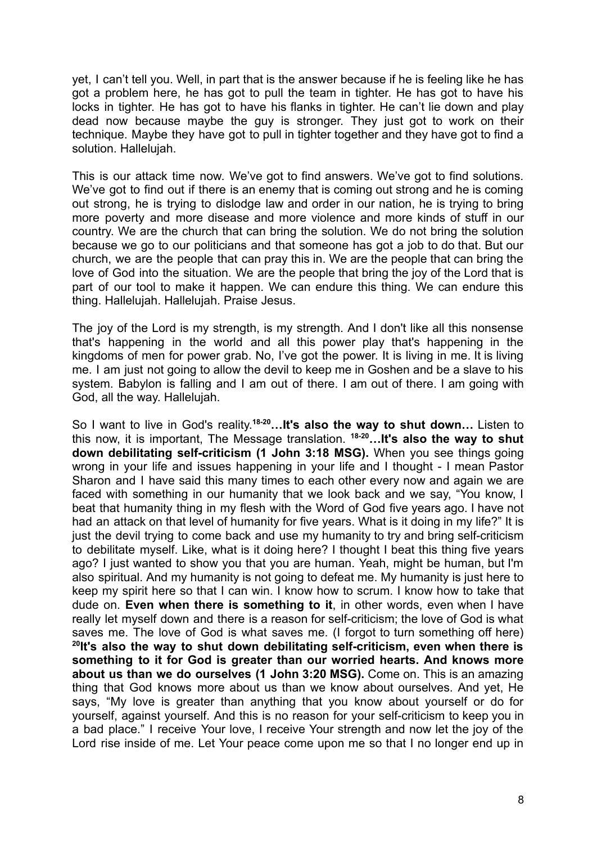yet, I can't tell you. Well, in part that is the answer because if he is feeling like he has got a problem here, he has got to pull the team in tighter. He has got to have his locks in tighter. He has got to have his flanks in tighter. He can't lie down and play dead now because maybe the guy is stronger. They just got to work on their technique. Maybe they have got to pull in tighter together and they have got to find a solution. Hallelujah.

This is our attack time now. We've got to find answers. We've got to find solutions. We've got to find out if there is an enemy that is coming out strong and he is coming out strong, he is trying to dislodge law and order in our nation, he is trying to bring more poverty and more disease and more violence and more kinds of stuff in our country. We are the church that can bring the solution. We do not bring the solution because we go to our politicians and that someone has got a job to do that. But our church, we are the people that can pray this in. We are the people that can bring the love of God into the situation. We are the people that bring the joy of the Lord that is part of our tool to make it happen. We can endure this thing. We can endure this thing. Hallelujah. Hallelujah. Praise Jesus.

The joy of the Lord is my strength, is my strength. And I don't like all this nonsense that's happening in the world and all this power play that's happening in the kingdoms of men for power grab. No, I've got the power. It is living in me. It is living me. I am just not going to allow the devil to keep me in Goshen and be a slave to his system. Babylon is falling and I am out of there. I am out of there. I am going with God, all the way. Hallelujah.

So I want to live in God's reality. **18-20…It's also the way to shut down…** Listen to this now, it is important, The Message translation. **18-20…It's also the way to shut down debilitating self-criticism (1 John 3:18 MSG).** When you see things going wrong in your life and issues happening in your life and I thought - I mean Pastor Sharon and I have said this many times to each other every now and again we are faced with something in our humanity that we look back and we say, "You know, I beat that humanity thing in my flesh with the Word of God five years ago. I have not had an attack on that level of humanity for five years. What is it doing in my life?" It is just the devil trying to come back and use my humanity to try and bring self-criticism to debilitate myself. Like, what is it doing here? I thought I beat this thing five years ago? I just wanted to show you that you are human. Yeah, might be human, but I'm also spiritual. And my humanity is not going to defeat me. My humanity is just here to keep my spirit here so that I can win. I know how to scrum. I know how to take that dude on. **Even when there is something to it**, in other words, even when I have really let myself down and there is a reason for self-criticism; the love of God is what saves me. The love of God is what saves me. (I forgot to turn something off here) **20 It's also the way to shut down debilitating self-criticism, even when there is something to it for God is greater than our worried hearts. And knows more about us than we do ourselves (1 John 3:20 MSG).** Come on. This is an amazing thing that God knows more about us than we know about ourselves. And yet, He says, "My love is greater than anything that you know about yourself or do for yourself, against yourself. And this is no reason for your self-criticism to keep you in a bad place." I receive Your love, I receive Your strength and now let the joy of the Lord rise inside of me. Let Your peace come upon me so that I no longer end up in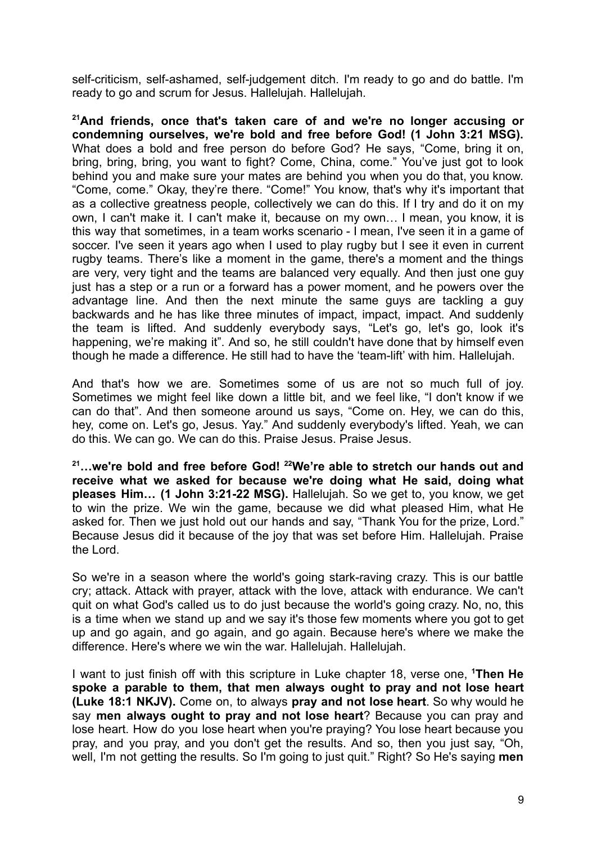self-criticism, self-ashamed, self-judgement ditch. I'm ready to go and do battle. I'm ready to go and scrum for Jesus. Hallelujah. Hallelujah.

**<sup>21</sup>And friends, once that's taken care of and we're no longer accusing or condemning ourselves, we're bold and free before God! (1 John 3:21 MSG).** What does a bold and free person do before God? He says, "Come, bring it on, bring, bring, bring, you want to fight? Come, China, come." You've just got to look behind you and make sure your mates are behind you when you do that, you know. "Come, come." Okay, they're there. "Come!" You know, that's why it's important that as a collective greatness people, collectively we can do this. If I try and do it on my own, I can't make it. I can't make it, because on my own… I mean, you know, it is this way that sometimes, in a team works scenario - I mean, I've seen it in a game of soccer. I've seen it years ago when I used to play rugby but I see it even in current rugby teams. There's like a moment in the game, there's a moment and the things are very, very tight and the teams are balanced very equally. And then just one guy just has a step or a run or a forward has a power moment, and he powers over the advantage line. And then the next minute the same guys are tackling a guy backwards and he has like three minutes of impact, impact, impact. And suddenly the team is lifted. And suddenly everybody says, "Let's go, let's go, look it's happening, we're making it". And so, he still couldn't have done that by himself even though he made a difference. He still had to have the 'team-lift' with him. Hallelujah.

And that's how we are. Sometimes some of us are not so much full of joy. Sometimes we might feel like down a little bit, and we feel like, "I don't know if we can do that". And then someone around us says, "Come on. Hey, we can do this, hey, come on. Let's go, Jesus. Yay." And suddenly everybody's lifted. Yeah, we can do this. We can go. We can do this. Praise Jesus. Praise Jesus.

**<sup>21</sup>…we're bold and free before God! <sup>22</sup>We're able to stretch our hands out and receive what we asked for because we're doing what He said, doing what pleases Him… (1 John 3:21-22 MSG).** Hallelujah. So we get to, you know, we get to win the prize. We win the game, because we did what pleased Him, what He asked for. Then we just hold out our hands and say, "Thank You for the prize, Lord." Because Jesus did it because of the joy that was set before Him. Hallelujah. Praise the Lord.

So we're in a season where the world's going stark-raving crazy. This is our battle cry; attack. Attack with prayer, attack with the love, attack with endurance. We can't quit on what God's called us to do just because the world's going crazy. No, no, this is a time when we stand up and we say it's those few moments where you got to get up and go again, and go again, and go again. Because here's where we make the difference. Here's where we win the war. Hallelujah. Hallelujah.

I want to just finish off with this scripture in Luke chapter 18, verse one, **<sup>1</sup>Then He spoke a parable to them, that men always ought to pray and not lose heart (Luke 18:1 NKJV).** Come on, to always **pray and not lose heart**. So why would he say **men always ought to pray and not lose heart**? Because you can pray and lose heart. How do you lose heart when you're praying? You lose heart because you pray, and you pray, and you don't get the results. And so, then you just say, "Oh, well, I'm not getting the results. So I'm going to just quit." Right? So He's saying **men**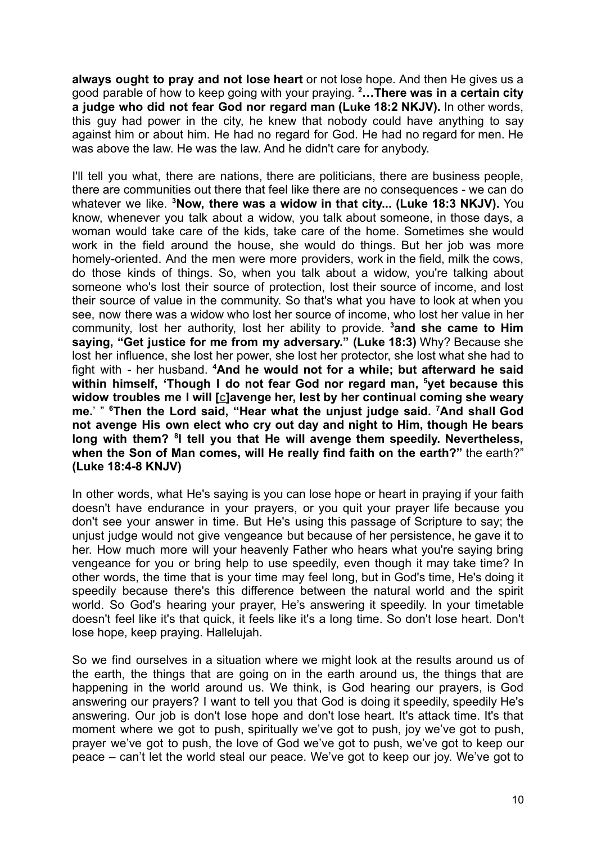**always ought to pray and not lose heart** or not lose hope. And then He gives us a good parable of how to keep going with your praying. **<sup>2</sup>…There was in a certain city a judge who did not fear God nor regard man (Luke 18:2 NKJV).** In other words, this guy had power in the city, he knew that nobody could have anything to say against him or about him. He had no regard for God. He had no regard for men. He was above the law. He was the law. And he didn't care for anybody.

I'll tell you what, there are nations, there are politicians, there are business people, there are communities out there that feel like there are no consequences - we can do whatever we like. **<sup>3</sup>Now, there was a widow in that city... (Luke 18:3 NKJV).** You know, whenever you talk about a widow, you talk about someone, in those days, a woman would take care of the kids, take care of the home. Sometimes she would work in the field around the house, she would do things. But her job was more homely-oriented. And the men were more providers, work in the field, milk the cows, do those kinds of things. So, when you talk about a widow, you're talking about someone who's lost their source of protection, lost their source of income, and lost their source of value in the community. So that's what you have to look at when you see, now there was a widow who lost her source of income, who lost her value in her community, lost her authority, lost her ability to provide. **<sup>3</sup>and she came to Him saying, "Get justice for me from my adversary." (Luke 18:3)** Why? Because she lost her influence, she lost her power, she lost her protector, she lost what she had to fight with - her husband. **<sup>4</sup>And he would not for a while; but afterward he said within himself, 'Though I do not fear God nor regard man, <sup>5</sup>yet because this widow troubles me I will [[c\]](https://www.biblegateway.com/passage/?search=Luke+18&version=NKJV#fen-NKJV-25694c)avenge her, lest by her continual coming she weary me.**' " **<sup>6</sup>Then the Lord said, "Hear what the unjust judge said. <sup>7</sup>And shall God not avenge His own elect who cry out day and night to Him, though He bears long with them? <sup>8</sup> I tell you that He will avenge them speedily. Nevertheless, when the Son of Man comes, will He really find faith on the earth?"** the earth?" **(Luke 18:4-8 KNJV)**

In other words, what He's saying is you can lose hope or heart in praying if your faith doesn't have endurance in your prayers, or you quit your prayer life because you don't see your answer in time. But He's using this passage of Scripture to say; the unjust judge would not give vengeance but because of her persistence, he gave it to her. How much more will your heavenly Father who hears what you're saying bring vengeance for you or bring help to use speedily, even though it may take time? In other words, the time that is your time may feel long, but in God's time, He's doing it speedily because there's this difference between the natural world and the spirit world. So God's hearing your prayer, He's answering it speedily. In your timetable doesn't feel like it's that quick, it feels like it's a long time. So don't lose heart. Don't lose hope, keep praying. Hallelujah.

So we find ourselves in a situation where we might look at the results around us of the earth, the things that are going on in the earth around us, the things that are happening in the world around us. We think, is God hearing our prayers, is God answering our prayers? I want to tell you that God is doing it speedily, speedily He's answering. Our job is don't lose hope and don't lose heart. It's attack time. It's that moment where we got to push, spiritually we've got to push, joy we've got to push, prayer we've got to push, the love of God we've got to push, we've got to keep our peace – can't let the world steal our peace. We've got to keep our joy. We've got to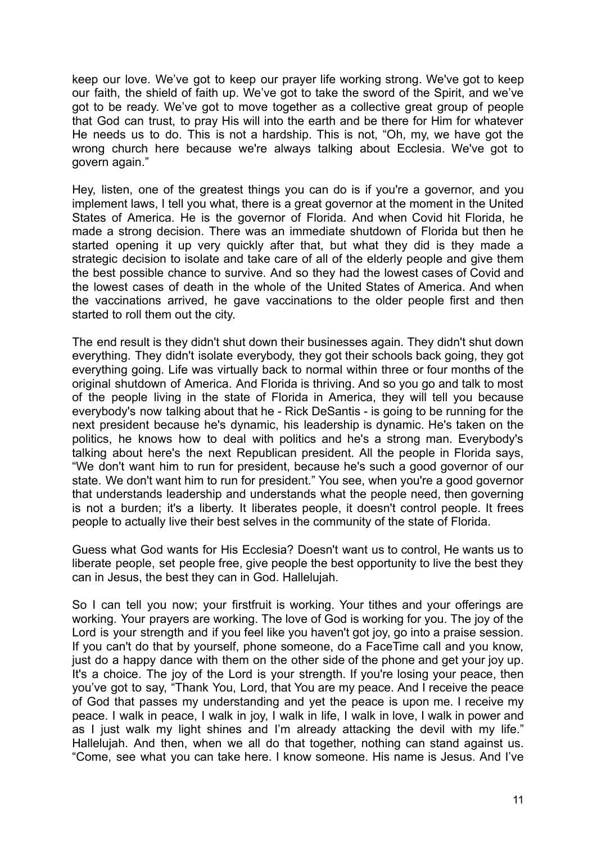keep our love. We've got to keep our prayer life working strong. We've got to keep our faith, the shield of faith up. We've got to take the sword of the Spirit, and we've got to be ready. We've got to move together as a collective great group of people that God can trust, to pray His will into the earth and be there for Him for whatever He needs us to do. This is not a hardship. This is not, "Oh, my, we have got the wrong church here because we're always talking about Ecclesia. We've got to govern again."

Hey, listen, one of the greatest things you can do is if you're a governor, and you implement laws, I tell you what, there is a great governor at the moment in the United States of America. He is the governor of Florida. And when Covid hit Florida, he made a strong decision. There was an immediate shutdown of Florida but then he started opening it up very quickly after that, but what they did is they made a strategic decision to isolate and take care of all of the elderly people and give them the best possible chance to survive. And so they had the lowest cases of Covid and the lowest cases of death in the whole of the United States of America. And when the vaccinations arrived, he gave vaccinations to the older people first and then started to roll them out the city.

The end result is they didn't shut down their businesses again. They didn't shut down everything. They didn't isolate everybody, they got their schools back going, they got everything going. Life was virtually back to normal within three or four months of the original shutdown of America. And Florida is thriving. And so you go and talk to most of the people living in the state of Florida in America, they will tell you because everybody's now talking about that he - Rick DeSantis - is going to be running for the next president because he's dynamic, his leadership is dynamic. He's taken on the politics, he knows how to deal with politics and he's a strong man. Everybody's talking about here's the next Republican president. All the people in Florida says, "We don't want him to run for president, because he's such a good governor of our state. We don't want him to run for president." You see, when you're a good governor that understands leadership and understands what the people need, then governing is not a burden; it's a liberty. It liberates people, it doesn't control people. It frees people to actually live their best selves in the community of the state of Florida.

Guess what God wants for His Ecclesia? Doesn't want us to control, He wants us to liberate people, set people free, give people the best opportunity to live the best they can in Jesus, the best they can in God. Hallelujah.

So I can tell you now; your firstfruit is working. Your tithes and your offerings are working. Your prayers are working. The love of God is working for you. The joy of the Lord is your strength and if you feel like you haven't got joy, go into a praise session. If you can't do that by yourself, phone someone, do a FaceTime call and you know, just do a happy dance with them on the other side of the phone and get your joy up. It's a choice. The joy of the Lord is your strength. If you're losing your peace, then you've got to say, "Thank You, Lord, that You are my peace. And I receive the peace of God that passes my understanding and yet the peace is upon me. I receive my peace. I walk in peace, I walk in joy, I walk in life, I walk in love, I walk in power and as I just walk my light shines and I'm already attacking the devil with my life." Hallelujah. And then, when we all do that together, nothing can stand against us. "Come, see what you can take here. I know someone. His name is Jesus. And I've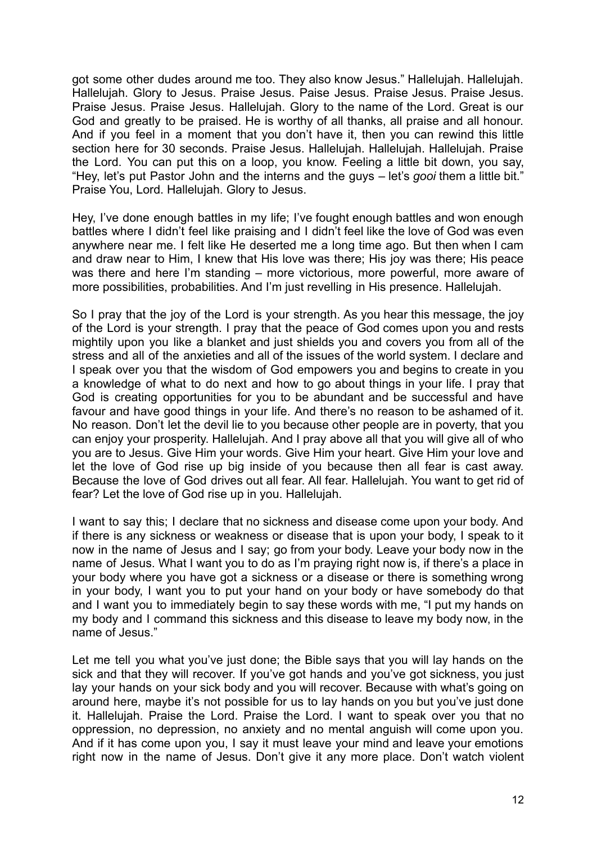got some other dudes around me too. They also know Jesus." Hallelujah. Hallelujah. Hallelujah. Glory to Jesus. Praise Jesus. Paise Jesus. Praise Jesus. Praise Jesus. Praise Jesus. Praise Jesus. Hallelujah. Glory to the name of the Lord. Great is our God and greatly to be praised. He is worthy of all thanks, all praise and all honour. And if you feel in a moment that you don't have it, then you can rewind this little section here for 30 seconds. Praise Jesus. Hallelujah. Hallelujah. Hallelujah. Praise the Lord. You can put this on a loop, you know. Feeling a little bit down, you say, "Hey, let's put Pastor John and the interns and the guys – let's *gooi* them a little bit." Praise You, Lord. Hallelujah. Glory to Jesus.

Hey, I've done enough battles in my life; I've fought enough battles and won enough battles where I didn't feel like praising and I didn't feel like the love of God was even anywhere near me. I felt like He deserted me a long time ago. But then when I cam and draw near to Him, I knew that His love was there; His joy was there; His peace was there and here I'm standing – more victorious, more powerful, more aware of more possibilities, probabilities. And I'm just revelling in His presence. Hallelujah.

So I pray that the joy of the Lord is your strength. As you hear this message, the joy of the Lord is your strength. I pray that the peace of God comes upon you and rests mightily upon you like a blanket and just shields you and covers you from all of the stress and all of the anxieties and all of the issues of the world system. I declare and I speak over you that the wisdom of God empowers you and begins to create in you a knowledge of what to do next and how to go about things in your life. I pray that God is creating opportunities for you to be abundant and be successful and have favour and have good things in your life. And there's no reason to be ashamed of it. No reason. Don't let the devil lie to you because other people are in poverty, that you can enjoy your prosperity. Hallelujah. And I pray above all that you will give all of who you are to Jesus. Give Him your words. Give Him your heart. Give Him your love and let the love of God rise up big inside of you because then all fear is cast away. Because the love of God drives out all fear. All fear. Hallelujah. You want to get rid of fear? Let the love of God rise up in you. Hallelujah.

I want to say this; I declare that no sickness and disease come upon your body. And if there is any sickness or weakness or disease that is upon your body, I speak to it now in the name of Jesus and I say; go from your body. Leave your body now in the name of Jesus. What I want you to do as I'm praying right now is, if there's a place in your body where you have got a sickness or a disease or there is something wrong in your body, I want you to put your hand on your body or have somebody do that and I want you to immediately begin to say these words with me, "I put my hands on my body and I command this sickness and this disease to leave my body now, in the name of Jesus."

Let me tell you what you've just done; the Bible says that you will lay hands on the sick and that they will recover. If you've got hands and you've got sickness, you just lay your hands on your sick body and you will recover. Because with what's going on around here, maybe it's not possible for us to lay hands on you but you've just done it. Hallelujah. Praise the Lord. Praise the Lord. I want to speak over you that no oppression, no depression, no anxiety and no mental anguish will come upon you. And if it has come upon you, I say it must leave your mind and leave your emotions right now in the name of Jesus. Don't give it any more place. Don't watch violent